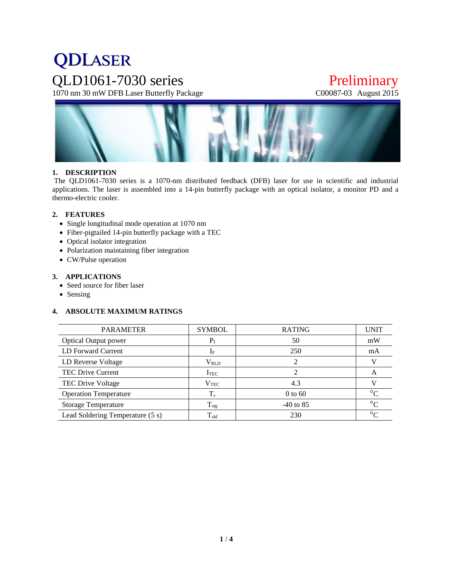# **QDLASER** QLD1061-7030 series Preliminary<br>1070 nm 30 mW DFB Laser Butterfly Package C00087-03 August 2015

1070 nm 30 mW DFB Laser Butterfly Package



# **1. DESCRIPTION**

The QLD1061-7030 series is a 1070-nm distributed feedback (DFB) laser for use in scientific and industrial applications. The laser is assembled into a 14-pin butterfly package with an optical isolator, a monitor PD and a thermo-electric cooler.

#### **2. FEATURES**

- Single longitudinal mode operation at 1070 nm
- Fiber-pigtailed 14-pin butterfly package with a TEC
- Optical isolator integration
- Polarization maintaining fiber integration
- CW/Pulse operation

#### **3. APPLICATIONS**

- Seed source for fiber laser
- Sensing

# **4. ABSOLUTE MAXIMUM RATINGS**

| <b>SYMBOL</b>    | <b>RATING</b> | <b>UNIT</b> |
|------------------|---------------|-------------|
| $P_f$            | 50            | mW          |
| $I_F$            | 250           | mA          |
| $V_{RLD}$        |               |             |
| I <sub>TEC</sub> |               | A           |
| $\rm V_{TEC}$    | 4.3           |             |
| $T_c$            | $0$ to 60     | $\circ$     |
| $T_{\text{stg}}$ | $-40$ to 85   | $\circ$     |
| $T_{\rm sld}$    | 230           | $\circ$     |
|                  |               |             |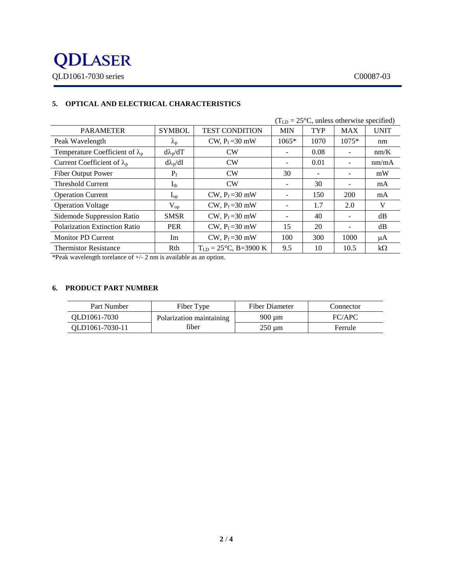

|                                        |                    |                                   |                          | $(T_{LD} = 25^{\circ}C$ , unless otherwise specified) |            |             |
|----------------------------------------|--------------------|-----------------------------------|--------------------------|-------------------------------------------------------|------------|-------------|
| <b>PARAMETER</b>                       | <b>SYMBOL</b>      | <b>TEST CONDITION</b>             | <b>MIN</b>               | <b>TYP</b>                                            | <b>MAX</b> | <b>UNIT</b> |
| Peak Wavelength                        | $\lambda_{\rm{p}}$ | CW, $P_f = 30$ mW                 | $1065*$                  | 1070                                                  | $1075*$    | nm          |
| Temperature Coefficient of $\lambda_p$ | $d\lambda_p/dT$    | CW                                | $\overline{\phantom{a}}$ | 0.08                                                  |            | nm/K        |
| Current Coefficient of $\lambda_p$     | $d\lambda_p/dI$    | CW                                | $\overline{\phantom{a}}$ | 0.01                                                  |            | nm/mA       |
| <b>Fiber Output Power</b>              | $P_f$              | CW                                | 30                       |                                                       |            | mW          |
| <b>Threshold Current</b>               | $I_{th}$           | CW                                | $\overline{\phantom{a}}$ | 30                                                    |            | mA          |
| <b>Operation Current</b>               | $I_{op}$           | CW, $P_f = 30$ mW                 | $\overline{\phantom{a}}$ | 150                                                   | 200        | mA          |
| <b>Operation Voltage</b>               | $V_{op}$           | CW, $P_f = 30$ mW                 | $\overline{\phantom{a}}$ | 1.7                                                   | 2.0        | V           |
| Sidemode Suppression Ratio             | <b>SMSR</b>        | CW, $P_f = 30$ mW                 | $\overline{\phantom{a}}$ | 40                                                    |            | dB          |
| Polarization Extinction Ratio          | <b>PER</b>         | CW, $P_f = 30$ mW                 | 15                       | 20                                                    |            | dB          |
| <b>Monitor PD Current</b>              | Im                 | CW, $P_f = 30$ mW                 | 100                      | 300                                                   | 1000       | μA          |
| <b>Thermistor Resistance</b>           | Rth                | $T_{LD} = 25^{\circ}C$ , B=3900 K | 9.5                      | 10                                                    | 10.5       | $k\Omega$   |

# **5. OPTICAL AND ELECTRICAL CHARACTERISTICS**

\*Peak wavelength torelance of +/- 2 nm is available as an option.

#### **6. PRODUCT PART NUMBER**

| Part Number     | Fiber Type               | Fiber Diameter | Connector |
|-----------------|--------------------------|----------------|-----------|
| OLD1061-7030    | Polarization maintaining | 900 um         | FC/APC    |
| OLD1061-7030-11 | fiber                    | 250 um         | Ferrule   |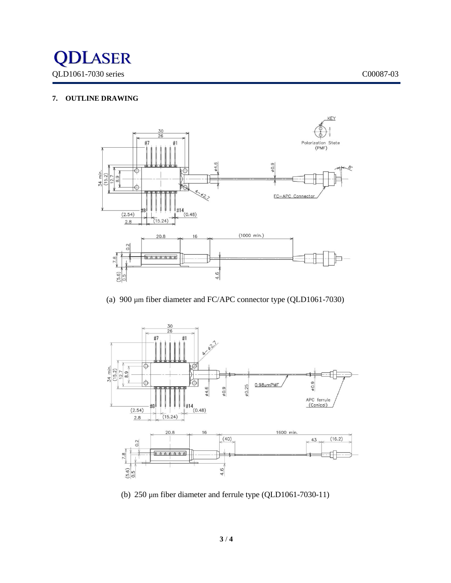

# **7. OUTLINE DRAWING**



(a) 900 µm fiber diameter and FC/APC connector type (QLD1061-7030)



(b) 250 µm fiber diameter and ferrule type (QLD1061-7030-11)